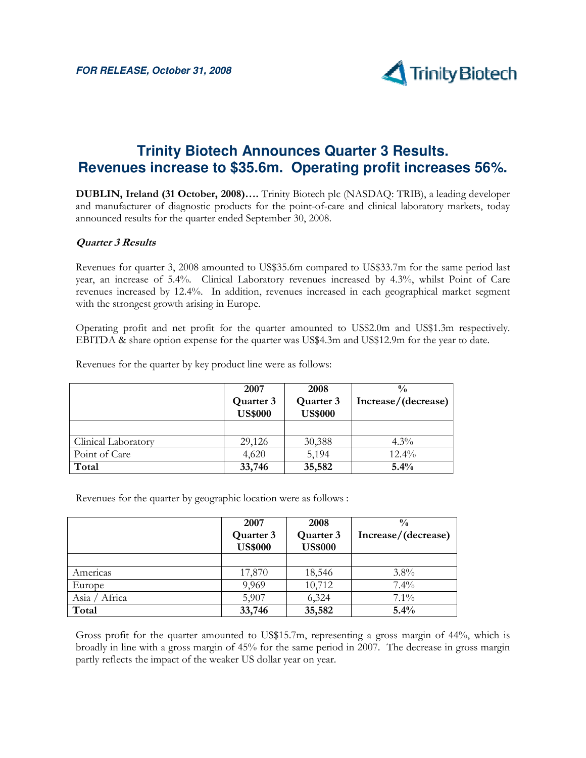

# **Trinity Biotech Announces Quarter 3 Results. Revenues increase to \$35.6m. Operating profit increases 56%.**

DUBLIN, Ireland (31 October, 2008)…. Trinity Biotech plc (NASDAQ: TRIB), a leading developer and manufacturer of diagnostic products for the point-of-care and clinical laboratory markets, today announced results for the quarter ended September 30, 2008.

### Quarter 3 Results

Revenues for quarter 3, 2008 amounted to US\$35.6m compared to US\$33.7m for the same period last year, an increase of 5.4%. Clinical Laboratory revenues increased by 4.3%, whilst Point of Care revenues increased by 12.4%. In addition, revenues increased in each geographical market segment with the strongest growth arising in Europe.

Operating profit and net profit for the quarter amounted to US\$2.0m and US\$1.3m respectively. EBITDA & share option expense for the quarter was US\$4.3m and US\$12.9m for the year to date.

|                     | 2007                        | 2008                        | $\frac{0}{0}$       |
|---------------------|-----------------------------|-----------------------------|---------------------|
|                     | Quarter 3<br><b>US\$000</b> | Quarter 3<br><b>US\$000</b> | Increase/(decrease) |
|                     |                             |                             |                     |
| Clinical Laboratory | 29,126                      | 30,388                      | $4.3\%$             |
| Point of Care       | 4,620                       | 5,194                       | $12.4\%$            |
| Total               | 33,746                      | 35,582                      | 5.4%                |

Revenues for the quarter by key product line were as follows:

Revenues for the quarter by geographic location were as follows :

|                    | 2007           | 2008           | $\frac{0}{0}$       |
|--------------------|----------------|----------------|---------------------|
|                    | Quarter 3      | Quarter 3      | Increase/(decrease) |
|                    | <b>US\$000</b> | <b>US\$000</b> |                     |
|                    |                |                |                     |
| Americas           | 17,870         | 18,546         | $3.8\%$             |
| Europe             | 9,969          | 10,712         | 7.4%                |
| / Africa<br>Asia / | 5,907          | 6,324          | $7.1\%$             |
| Total              | 33,746         | 35,582         | 5.4%                |

Gross profit for the quarter amounted to US\$15.7m, representing a gross margin of 44%, which is broadly in line with a gross margin of 45% for the same period in 2007. The decrease in gross margin partly reflects the impact of the weaker US dollar year on year.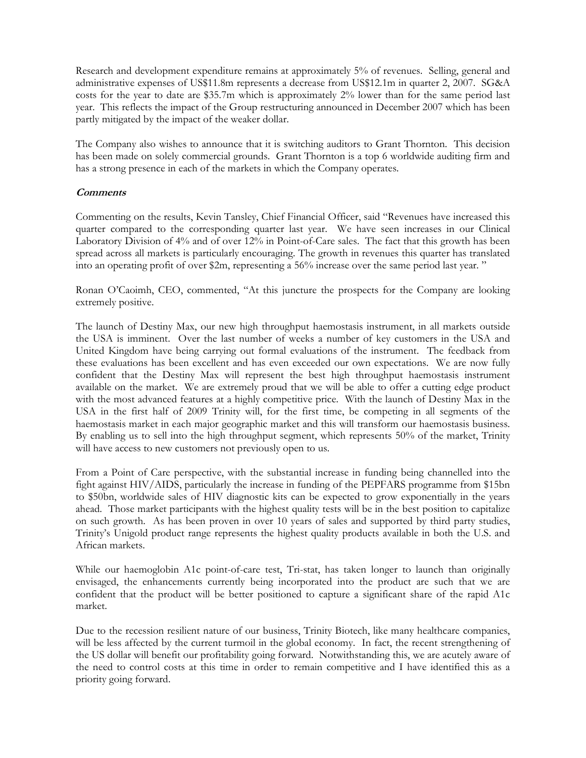Research and development expenditure remains at approximately 5% of revenues. Selling, general and administrative expenses of US\$11.8m represents a decrease from US\$12.1m in quarter 2, 2007. SG&A costs for the year to date are \$35.7m which is approximately 2% lower than for the same period last year. This reflects the impact of the Group restructuring announced in December 2007 which has been partly mitigated by the impact of the weaker dollar.

The Company also wishes to announce that it is switching auditors to Grant Thornton. This decision has been made on solely commercial grounds. Grant Thornton is a top 6 worldwide auditing firm and has a strong presence in each of the markets in which the Company operates.

### **Comments**

Commenting on the results, Kevin Tansley, Chief Financial Officer, said "Revenues have increased this quarter compared to the corresponding quarter last year. We have seen increases in our Clinical Laboratory Division of 4% and of over 12% in Point-of-Care sales. The fact that this growth has been spread across all markets is particularly encouraging. The growth in revenues this quarter has translated into an operating profit of over \$2m, representing a 56% increase over the same period last year. "

Ronan O'Caoimh, CEO, commented, "At this juncture the prospects for the Company are looking extremely positive.

The launch of Destiny Max, our new high throughput haemostasis instrument, in all markets outside the USA is imminent. Over the last number of weeks a number of key customers in the USA and United Kingdom have being carrying out formal evaluations of the instrument. The feedback from these evaluations has been excellent and has even exceeded our own expectations. We are now fully confident that the Destiny Max will represent the best high throughput haemostasis instrument available on the market. We are extremely proud that we will be able to offer a cutting edge product with the most advanced features at a highly competitive price. With the launch of Destiny Max in the USA in the first half of 2009 Trinity will, for the first time, be competing in all segments of the haemostasis market in each major geographic market and this will transform our haemostasis business. By enabling us to sell into the high throughput segment, which represents 50% of the market, Trinity will have access to new customers not previously open to us.

From a Point of Care perspective, with the substantial increase in funding being channelled into the fight against HIV/AIDS, particularly the increase in funding of the PEPFARS programme from \$15bn to \$50bn, worldwide sales of HIV diagnostic kits can be expected to grow exponentially in the years ahead. Those market participants with the highest quality tests will be in the best position to capitalize on such growth. As has been proven in over 10 years of sales and supported by third party studies, Trinity's Unigold product range represents the highest quality products available in both the U.S. and African markets.

While our haemoglobin A1c point-of-care test, Tri-stat, has taken longer to launch than originally envisaged, the enhancements currently being incorporated into the product are such that we are confident that the product will be better positioned to capture a significant share of the rapid A1c market.

Due to the recession resilient nature of our business, Trinity Biotech, like many healthcare companies, will be less affected by the current turmoil in the global economy. In fact, the recent strengthening of the US dollar will benefit our profitability going forward. Notwithstanding this, we are acutely aware of the need to control costs at this time in order to remain competitive and I have identified this as a priority going forward.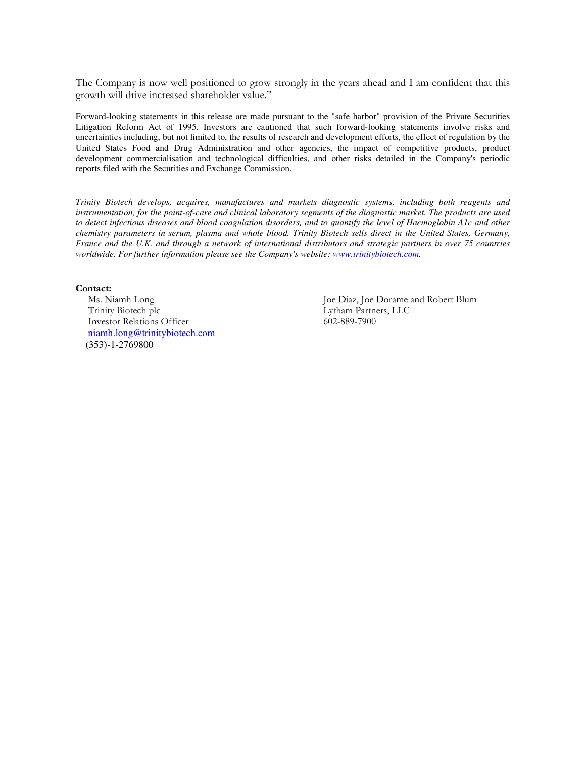The Company is now well positioned to grow strongly in the years ahead and I am confident that this growth will drive increased shareholder value."

Forward-looking statements in this release are made pursuant to the "safe harbor" provision of the Private Securities Litigation Reform Act of 1995. Investors are cautioned that such forward-looking statements involve risks and uncertainties including, but not limited to, the results of research and development efforts, the effect of regulation by the United States Food and Drug Administration and other agencies, the impact of competitive products, product development commercialisation and technological difficulties, and other risks detailed in the Company's periodic reports filed with the Securities and Exchange Commission.

*Trinity Biotech develops, acquires, manufactures and markets diagnostic systems, including both reagents and instrumentation, for the point-of-care and clinical laboratory segments of the diagnostic market. The products are used to detect infectious diseases and blood coagulation disorders, and to quantify the level of Haemoglobin A1c and other chemistry parameters in serum, plasma and whole blood. Trinity Biotech sells direct in the United States, Germany, France and the U.K. and through a network of international distributors and strategic partners in over 75 countries worldwide. For further information please see the Company's website: www.trinitybiotech.com.* 

#### Contact:

Trinity Biotech plc Lytham Partners, LLC Investor Relations Officer 602-889-7900 niamh.long@trinitybiotech.com (353)-1-2769800

Ms. Niamh Long Joe Diaz, Joe Dorame and Robert Blum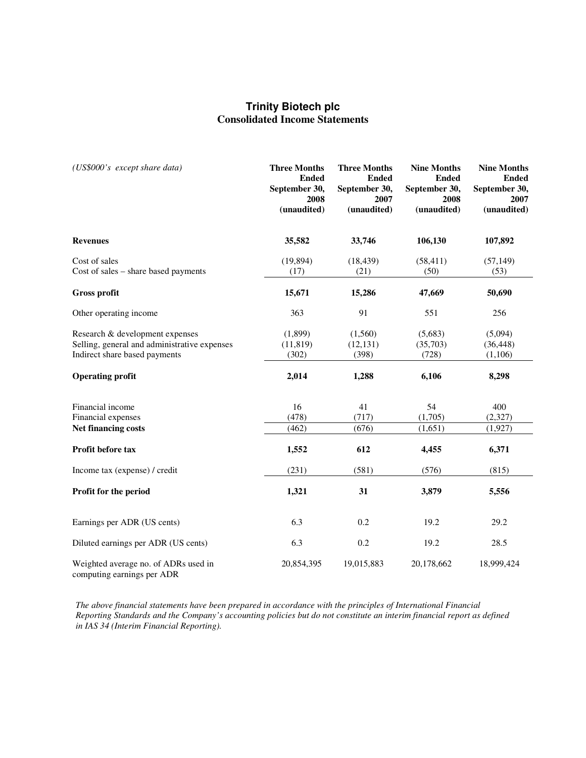## **Trinity Biotech plc Consolidated Income Statements**

| (US\$000's except share data)                                                                                    | <b>Three Months</b><br><b>Ended</b><br>September 30,<br>2008<br>(unaudited) | <b>Three Months</b><br><b>Ended</b><br>September 30,<br>2007<br>(unaudited) | <b>Nine Months</b><br><b>Ended</b><br>September 30,<br>2008<br>(unaudited) | <b>Nine Months</b><br><b>Ended</b><br>September 30,<br>2007<br>(unaudited) |
|------------------------------------------------------------------------------------------------------------------|-----------------------------------------------------------------------------|-----------------------------------------------------------------------------|----------------------------------------------------------------------------|----------------------------------------------------------------------------|
| <b>Revenues</b>                                                                                                  | 35,582                                                                      | 33,746                                                                      | 106,130                                                                    | 107,892                                                                    |
| Cost of sales<br>Cost of sales – share based payments                                                            | (19, 894)<br>(17)                                                           | (18, 439)<br>(21)                                                           | (58, 411)<br>(50)                                                          | (57, 149)<br>(53)                                                          |
| <b>Gross profit</b>                                                                                              | 15,671                                                                      | 15,286                                                                      | 47,669                                                                     | 50,690                                                                     |
| Other operating income                                                                                           | 363                                                                         | 91                                                                          | 551                                                                        | 256                                                                        |
| Research & development expenses<br>Selling, general and administrative expenses<br>Indirect share based payments | (1,899)<br>(11, 819)<br>(302)                                               | (1,560)<br>(12, 131)<br>(398)                                               | (5,683)<br>(35,703)<br>(728)                                               | (5,094)<br>(36, 448)<br>(1,106)                                            |
| <b>Operating profit</b>                                                                                          | 2,014                                                                       | 1,288                                                                       | 6,106                                                                      | 8,298                                                                      |
| Financial income<br>Financial expenses<br>Net financing costs                                                    | 16<br>(478)<br>(462)                                                        | 41<br>(717)<br>(676)                                                        | 54<br>(1,705)<br>(1,651)                                                   | 400<br>(2,327)<br>(1, 927)                                                 |
| Profit before tax                                                                                                | 1,552                                                                       | 612                                                                         | 4,455                                                                      | 6,371                                                                      |
| Income tax (expense) / credit                                                                                    | (231)                                                                       | (581)                                                                       | (576)                                                                      | (815)                                                                      |
| Profit for the period                                                                                            | 1,321                                                                       | 31                                                                          | 3,879                                                                      | 5,556                                                                      |
| Earnings per ADR (US cents)                                                                                      | 6.3                                                                         | 0.2                                                                         | 19.2                                                                       | 29.2                                                                       |
| Diluted earnings per ADR (US cents)                                                                              | 6.3                                                                         | 0.2                                                                         | 19.2                                                                       | 28.5                                                                       |
| Weighted average no. of ADRs used in<br>computing earnings per ADR                                               | 20,854,395                                                                  | 19,015,883                                                                  | 20,178,662                                                                 | 18,999,424                                                                 |

*The above financial statements have been prepared in accordance with the principles of International Financial Reporting Standards and the Company's accounting policies but do not constitute an interim financial report as defined in IAS 34 (Interim Financial Reporting).*